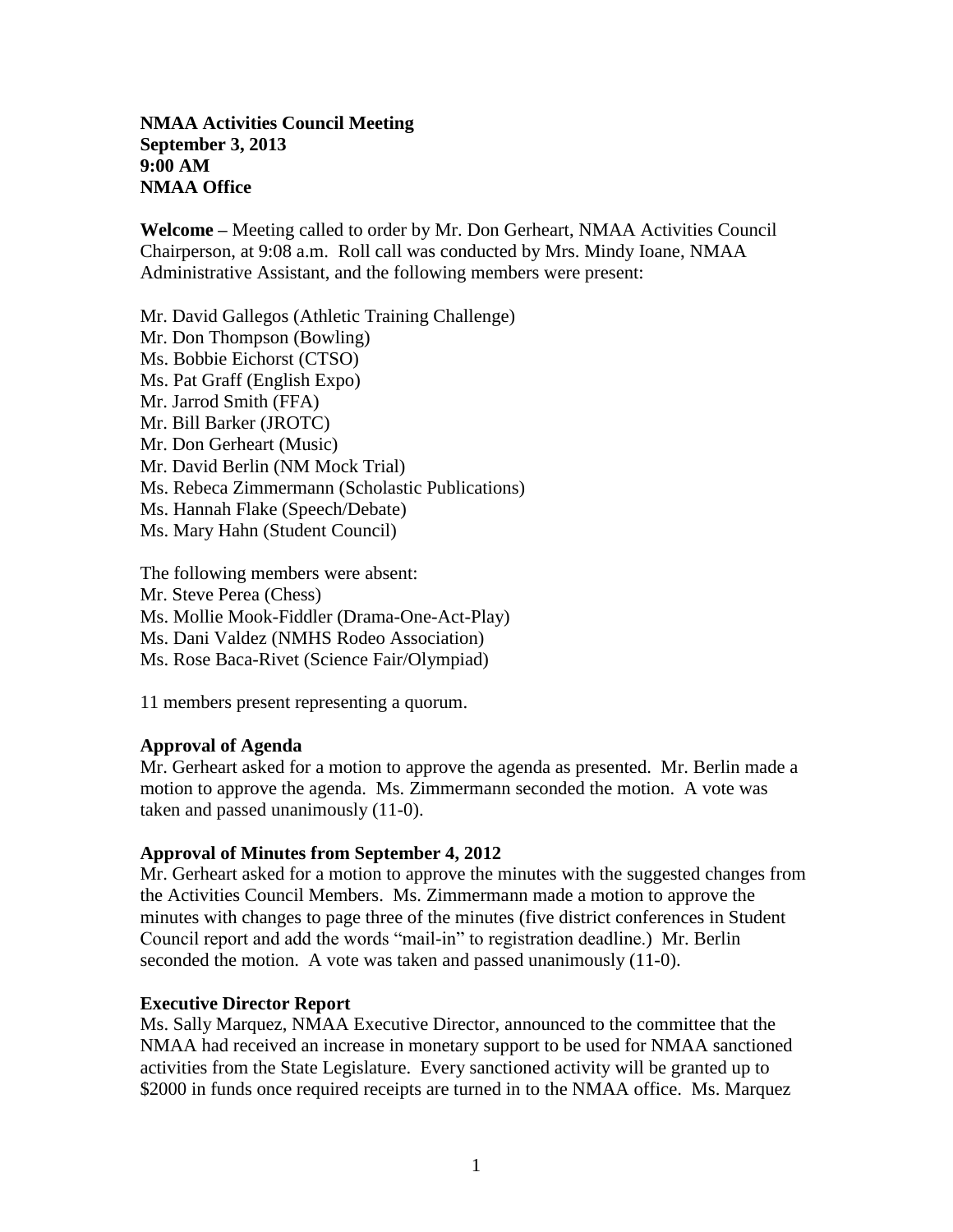# **NMAA Activities Council Meeting September 3, 2013 9:00 AM NMAA Office**

**Welcome** *–* Meeting called to order by Mr. Don Gerheart, NMAA Activities Council Chairperson, at 9:08 a.m. Roll call was conducted by Mrs. Mindy Ioane, NMAA Administrative Assistant, and the following members were present:

Mr. David Gallegos (Athletic Training Challenge) Mr. Don Thompson (Bowling) Ms. Bobbie Eichorst (CTSO) Ms. Pat Graff (English Expo) Mr. Jarrod Smith (FFA) Mr. Bill Barker (JROTC) Mr. Don Gerheart (Music) Mr. David Berlin (NM Mock Trial) Ms. Rebeca Zimmermann (Scholastic Publications) Ms. Hannah Flake (Speech/Debate) Ms. Mary Hahn (Student Council)

The following members were absent: Mr. Steve Perea (Chess) Ms. Mollie Mook-Fiddler (Drama-One-Act-Play) Ms. Dani Valdez (NMHS Rodeo Association) Ms. Rose Baca-Rivet (Science Fair/Olympiad)

11 members present representing a quorum.

### **Approval of Agenda**

Mr. Gerheart asked for a motion to approve the agenda as presented. Mr. Berlin made a motion to approve the agenda. Ms. Zimmermann seconded the motion. A vote was taken and passed unanimously (11-0).

### **Approval of Minutes from September 4, 2012**

Mr. Gerheart asked for a motion to approve the minutes with the suggested changes from the Activities Council Members. Ms. Zimmermann made a motion to approve the minutes with changes to page three of the minutes (five district conferences in Student Council report and add the words "mail-in" to registration deadline.) Mr. Berlin seconded the motion. A vote was taken and passed unanimously (11-0).

### **Executive Director Report**

Ms. Sally Marquez, NMAA Executive Director, announced to the committee that the NMAA had received an increase in monetary support to be used for NMAA sanctioned activities from the State Legislature. Every sanctioned activity will be granted up to \$2000 in funds once required receipts are turned in to the NMAA office. Ms. Marquez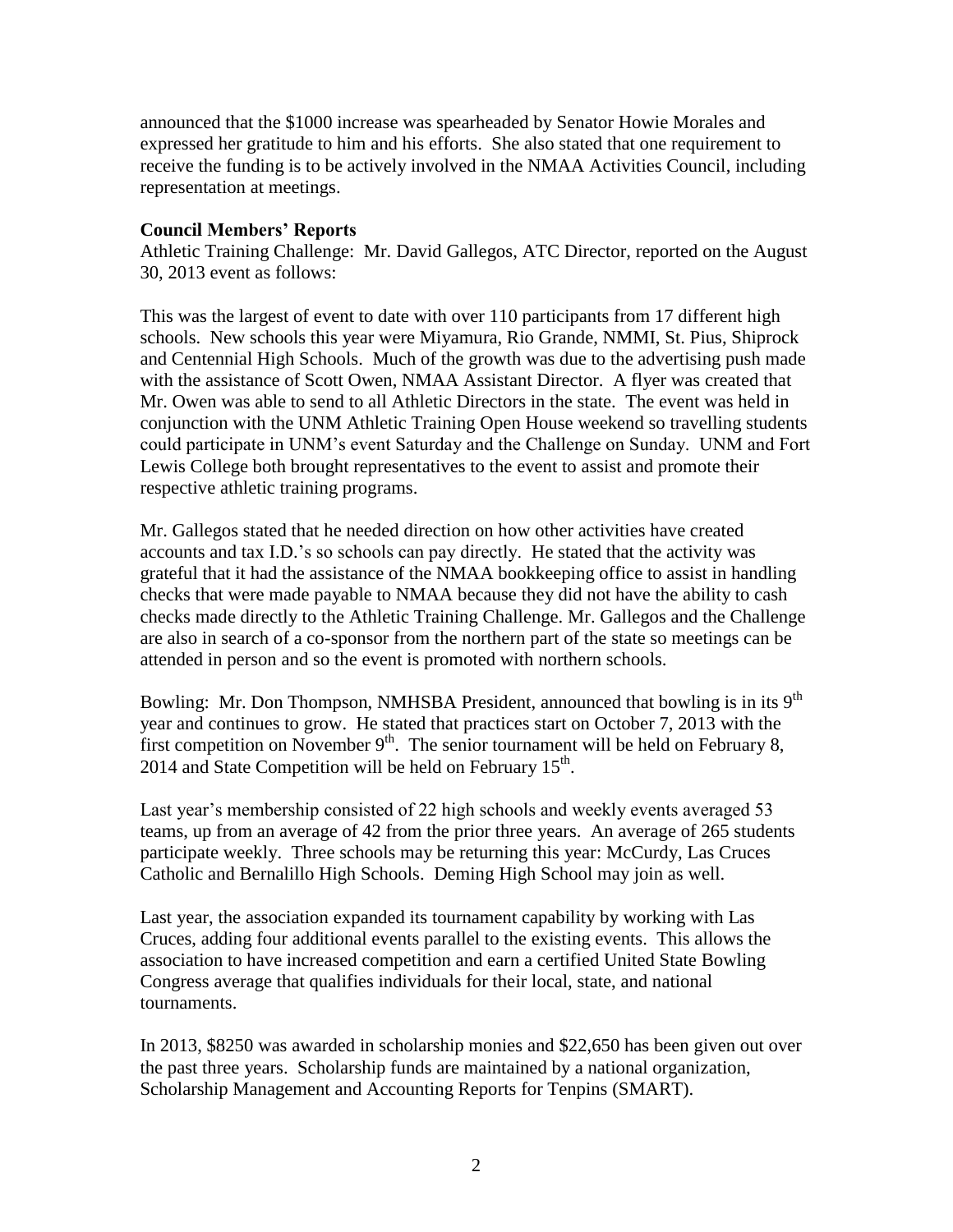announced that the \$1000 increase was spearheaded by Senator Howie Morales and expressed her gratitude to him and his efforts. She also stated that one requirement to receive the funding is to be actively involved in the NMAA Activities Council, including representation at meetings.

### **Council Members' Reports**

Athletic Training Challenge: Mr. David Gallegos, ATC Director, reported on the August 30, 2013 event as follows:

This was the largest of event to date with over 110 participants from 17 different high schools. New schools this year were Miyamura, Rio Grande, NMMI, St. Pius, Shiprock and Centennial High Schools. Much of the growth was due to the advertising push made with the assistance of Scott Owen, NMAA Assistant Director. A flyer was created that Mr. Owen was able to send to all Athletic Directors in the state. The event was held in conjunction with the UNM Athletic Training Open House weekend so travelling students could participate in UNM's event Saturday and the Challenge on Sunday. UNM and Fort Lewis College both brought representatives to the event to assist and promote their respective athletic training programs.

Mr. Gallegos stated that he needed direction on how other activities have created accounts and tax I.D.'s so schools can pay directly. He stated that the activity was grateful that it had the assistance of the NMAA bookkeeping office to assist in handling checks that were made payable to NMAA because they did not have the ability to cash checks made directly to the Athletic Training Challenge. Mr. Gallegos and the Challenge are also in search of a co-sponsor from the northern part of the state so meetings can be attended in person and so the event is promoted with northern schools.

Bowling: Mr. Don Thompson, NMHSBA President, announced that bowling is in its  $9<sup>th</sup>$ year and continues to grow. He stated that practices start on October 7, 2013 with the first competition on November  $9<sup>th</sup>$ . The senior tournament will be held on February 8, 2014 and State Competition will be held on February  $15<sup>th</sup>$ .

Last year's membership consisted of 22 high schools and weekly events averaged 53 teams, up from an average of 42 from the prior three years. An average of 265 students participate weekly. Three schools may be returning this year: McCurdy, Las Cruces Catholic and Bernalillo High Schools. Deming High School may join as well.

Last year, the association expanded its tournament capability by working with Las Cruces, adding four additional events parallel to the existing events. This allows the association to have increased competition and earn a certified United State Bowling Congress average that qualifies individuals for their local, state, and national tournaments.

In 2013, \$8250 was awarded in scholarship monies and \$22,650 has been given out over the past three years. Scholarship funds are maintained by a national organization, Scholarship Management and Accounting Reports for Tenpins (SMART).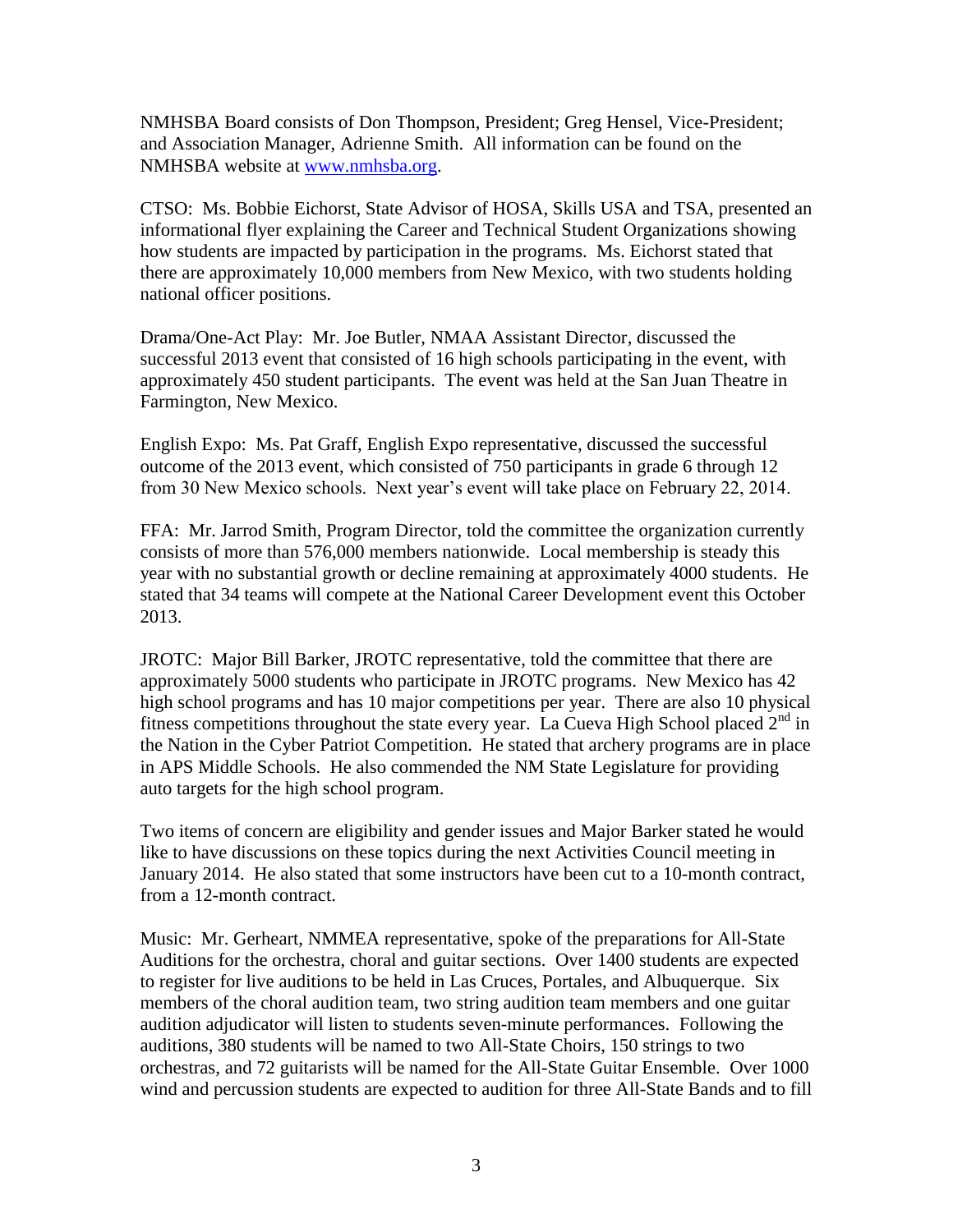NMHSBA Board consists of Don Thompson, President; Greg Hensel, Vice-President; and Association Manager, Adrienne Smith. All information can be found on the NMHSBA website at [www.nmhsba.org.](http://www.nmhsba.org/)

CTSO: Ms. Bobbie Eichorst, State Advisor of HOSA, Skills USA and TSA, presented an informational flyer explaining the Career and Technical Student Organizations showing how students are impacted by participation in the programs. Ms. Eichorst stated that there are approximately 10,000 members from New Mexico, with two students holding national officer positions.

Drama/One-Act Play: Mr. Joe Butler, NMAA Assistant Director, discussed the successful 2013 event that consisted of 16 high schools participating in the event, with approximately 450 student participants. The event was held at the San Juan Theatre in Farmington, New Mexico.

English Expo: Ms. Pat Graff, English Expo representative, discussed the successful outcome of the 2013 event, which consisted of 750 participants in grade 6 through 12 from 30 New Mexico schools. Next year's event will take place on February 22, 2014.

FFA: Mr. Jarrod Smith, Program Director, told the committee the organization currently consists of more than 576,000 members nationwide. Local membership is steady this year with no substantial growth or decline remaining at approximately 4000 students. He stated that 34 teams will compete at the National Career Development event this October 2013.

JROTC: Major Bill Barker, JROTC representative, told the committee that there are approximately 5000 students who participate in JROTC programs. New Mexico has 42 high school programs and has 10 major competitions per year. There are also 10 physical fitness competitions throughout the state every year. La Cueva High School placed  $2<sup>nd</sup>$  in the Nation in the Cyber Patriot Competition. He stated that archery programs are in place in APS Middle Schools. He also commended the NM State Legislature for providing auto targets for the high school program.

Two items of concern are eligibility and gender issues and Major Barker stated he would like to have discussions on these topics during the next Activities Council meeting in January 2014. He also stated that some instructors have been cut to a 10-month contract, from a 12-month contract.

Music: Mr. Gerheart, NMMEA representative, spoke of the preparations for All-State Auditions for the orchestra, choral and guitar sections. Over 1400 students are expected to register for live auditions to be held in Las Cruces, Portales, and Albuquerque. Six members of the choral audition team, two string audition team members and one guitar audition adjudicator will listen to students seven-minute performances. Following the auditions, 380 students will be named to two All-State Choirs, 150 strings to two orchestras, and 72 guitarists will be named for the All-State Guitar Ensemble. Over 1000 wind and percussion students are expected to audition for three All-State Bands and to fill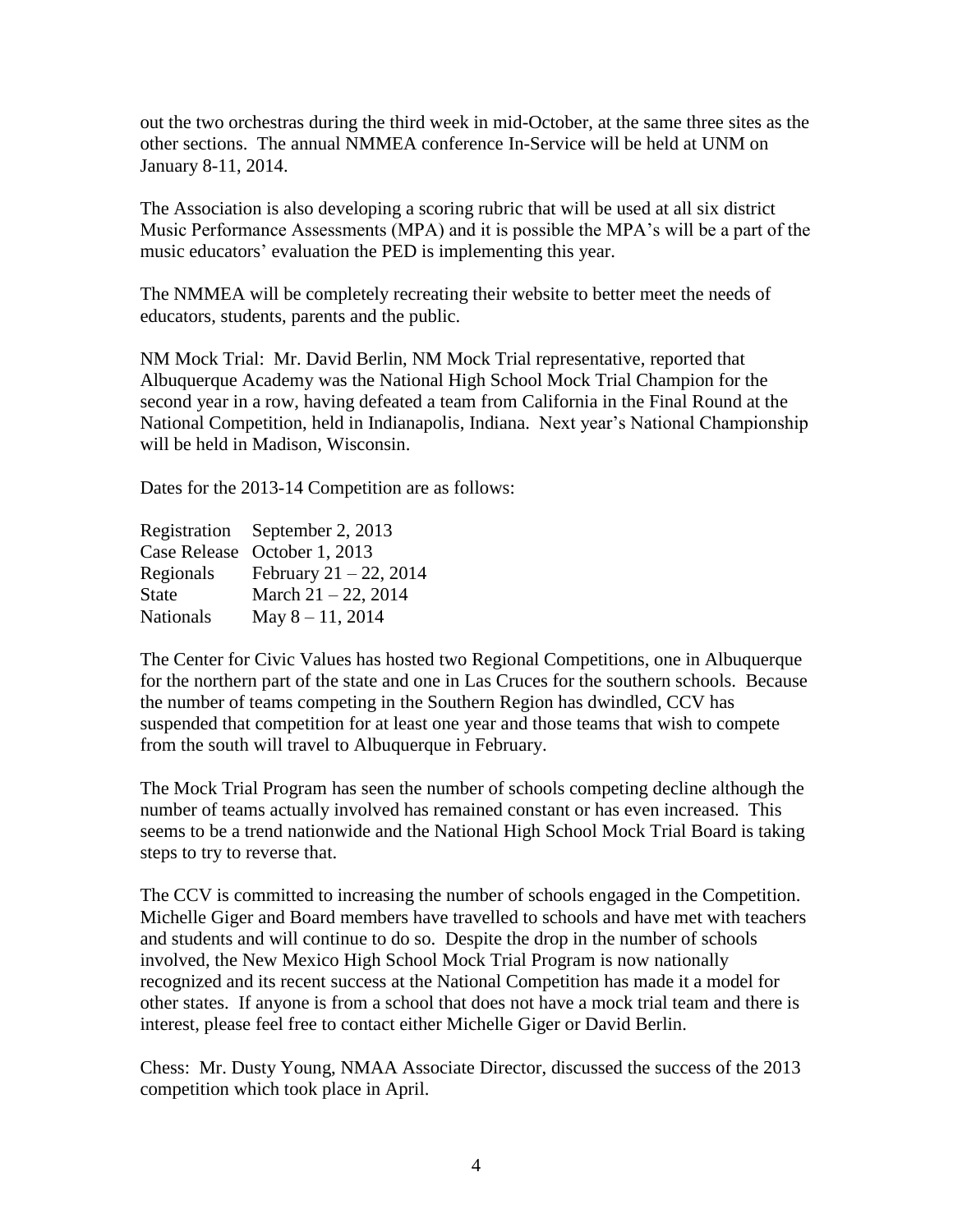out the two orchestras during the third week in mid-October, at the same three sites as the other sections. The annual NMMEA conference In-Service will be held at UNM on January 8-11, 2014.

The Association is also developing a scoring rubric that will be used at all six district Music Performance Assessments (MPA) and it is possible the MPA's will be a part of the music educators' evaluation the PED is implementing this year.

The NMMEA will be completely recreating their website to better meet the needs of educators, students, parents and the public.

NM Mock Trial: Mr. David Berlin, NM Mock Trial representative, reported that Albuquerque Academy was the National High School Mock Trial Champion for the second year in a row, having defeated a team from California in the Final Round at the National Competition, held in Indianapolis, Indiana. Next year's National Championship will be held in Madison, Wisconsin.

Dates for the 2013-14 Competition are as follows:

| Registration September 2, 2013 |
|--------------------------------|
| Case Release October 1, 2013   |
| February $21 - 22$ , 2014      |
| March $21 - 22$ , 2014         |
| May $8 - 11$ , 2014            |
|                                |

The Center for Civic Values has hosted two Regional Competitions, one in Albuquerque for the northern part of the state and one in Las Cruces for the southern schools. Because the number of teams competing in the Southern Region has dwindled, CCV has suspended that competition for at least one year and those teams that wish to compete from the south will travel to Albuquerque in February.

The Mock Trial Program has seen the number of schools competing decline although the number of teams actually involved has remained constant or has even increased. This seems to be a trend nationwide and the National High School Mock Trial Board is taking steps to try to reverse that.

The CCV is committed to increasing the number of schools engaged in the Competition. Michelle Giger and Board members have travelled to schools and have met with teachers and students and will continue to do so. Despite the drop in the number of schools involved, the New Mexico High School Mock Trial Program is now nationally recognized and its recent success at the National Competition has made it a model for other states. If anyone is from a school that does not have a mock trial team and there is interest, please feel free to contact either Michelle Giger or David Berlin.

Chess: Mr. Dusty Young, NMAA Associate Director, discussed the success of the 2013 competition which took place in April.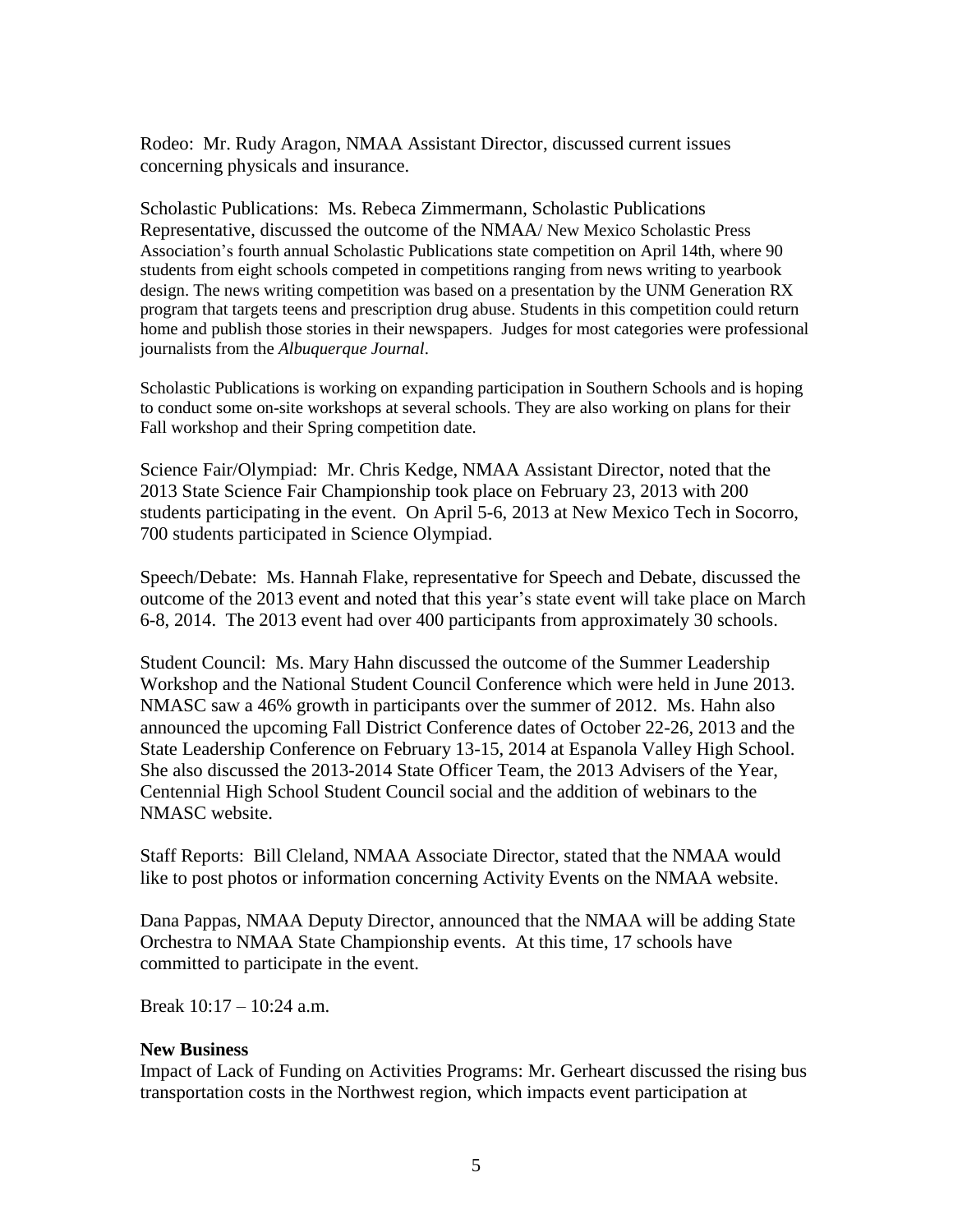Rodeo: Mr. Rudy Aragon, NMAA Assistant Director, discussed current issues concerning physicals and insurance.

Scholastic Publications: Ms. Rebeca Zimmermann, Scholastic Publications Representative, discussed the outcome of the NMAA/ New Mexico Scholastic Press Association's fourth annual Scholastic Publications state competition on April 14th, where 90 students from eight schools competed in competitions ranging from news writing to yearbook design. The news writing competition was based on a presentation by the UNM Generation RX program that targets teens and prescription drug abuse. Students in this competition could return home and publish those stories in their newspapers. Judges for most categories were professional journalists from the *Albuquerque Journal*.

Scholastic Publications is working on expanding participation in Southern Schools and is hoping to conduct some on-site workshops at several schools. They are also working on plans for their Fall workshop and their Spring competition date.

Science Fair/Olympiad: Mr. Chris Kedge, NMAA Assistant Director, noted that the 2013 State Science Fair Championship took place on February 23, 2013 with 200 students participating in the event. On April 5-6, 2013 at New Mexico Tech in Socorro, 700 students participated in Science Olympiad.

Speech/Debate: Ms. Hannah Flake, representative for Speech and Debate, discussed the outcome of the 2013 event and noted that this year's state event will take place on March 6-8, 2014. The 2013 event had over 400 participants from approximately 30 schools.

Student Council: Ms. Mary Hahn discussed the outcome of the Summer Leadership Workshop and the National Student Council Conference which were held in June 2013. NMASC saw a 46% growth in participants over the summer of 2012. Ms. Hahn also announced the upcoming Fall District Conference dates of October 22-26, 2013 and the State Leadership Conference on February 13-15, 2014 at Espanola Valley High School. She also discussed the 2013-2014 State Officer Team, the 2013 Advisers of the Year, Centennial High School Student Council social and the addition of webinars to the NMASC website.

Staff Reports: Bill Cleland, NMAA Associate Director, stated that the NMAA would like to post photos or information concerning Activity Events on the NMAA website.

Dana Pappas, NMAA Deputy Director, announced that the NMAA will be adding State Orchestra to NMAA State Championship events. At this time, 17 schools have committed to participate in the event.

Break 10:17 – 10:24 a.m.

### **New Business**

Impact of Lack of Funding on Activities Programs: Mr. Gerheart discussed the rising bus transportation costs in the Northwest region, which impacts event participation at